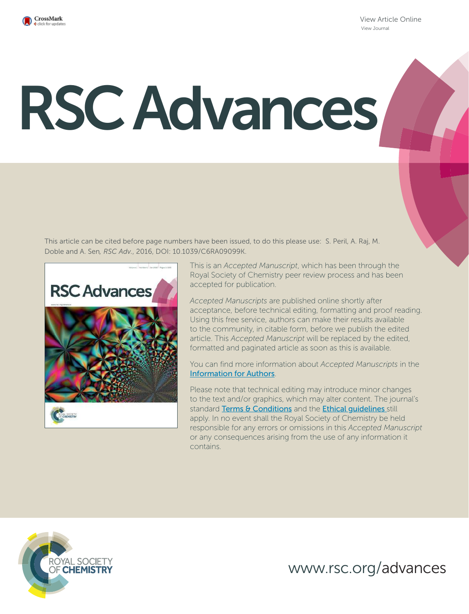

View Article Online View Journal

# RSC Advances

This article can be cited before page numbers have been issued, to do this please use: S. Peril, A. Raj, M. Doble and A. Sen*, RSC Adv.*, 2016, DOI: 10.1039/C6RA09099K.



This is an *Accepted Manuscript*, which has been through the Royal Society of Chemistry peer review process and has been accepted for publication.

*Accepted Manuscripts* are published online shortly after acceptance, before technical editing, formatting and proof reading. Using this free service, authors can make their results available to the community, in citable form, before we publish the edited article. This *Accepted Manuscript* will be replaced by the edited, formatted and paginated article as soon as this is available.

You can find more information about *Accepted Manuscripts* in the Information for Authors.

Please note that technical editing may introduce minor changes to the text and/or graphics, which may alter content. The journal's standard Terms & Conditions and the Ethical quidelines still apply. In no event shall the Royal Society of Chemistry be held responsible for any errors or omissions in this *Accepted Manuscript* or any consequences arising from the use of any information it contains.



www.rsc.org/advances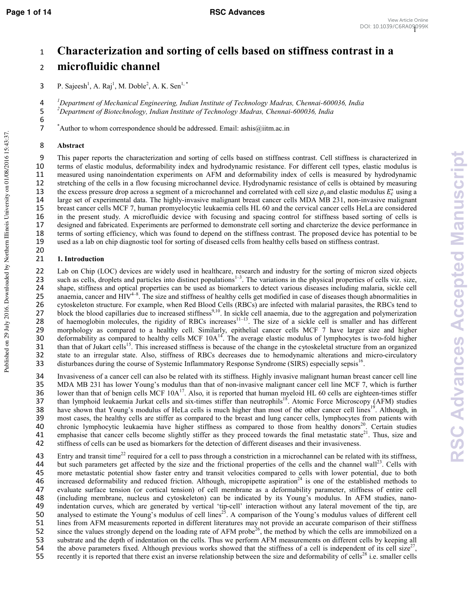# 1 Characterization and sorting of cells based on stiffness contrast in a 2 microfluidic channel

3 P. Sajeesh<sup>1</sup>, A. Raj<sup>1</sup>, M. Doble<sup>2</sup>, A. K. Sen<sup>1,\*</sup>

4 *<sup><i>I*</sup>Department of Mechanical Engineering, Indian Institute of Technology Madras, Chennai-600036, India 5 *<sup>2</sup>Department of Biotechnology, Indian Institute of Technology Madras, Chennai-600036, India* 

7 \*Author to whom correspondence should be addressed. Email: ashis@iitm.ac.in

# 8

6

Published on 29 July 2016. Downloaded by Northern Illinois University on 01/08/2016 15:43:37.

Published on 29 July 2016. Downloaded by Northern Illinois University on 01/08/2016 15:43:37

This paper reports the characterization and sorting of cells based on stiffness contrast. Cell stiffness is characterized in terms of elastic modulus, deformability index and hydrodynamic resistance. For different cell types, elastic modulus is measured using nanoindentation experiments on AFM and deformability index of cells is measured by hydrodynamic stretching of the cells in a flow focusing microchannel device. Hydrodynamic resistance of cells is obtained by measuring 13 the excess pressure drop across a segment of a microchannel and correlated with cell size  $\rho_c$  and elastic modulus  $E_c^*$  using a large set of experimental data. The highly-invasive malignant breast cancer cells MDA MB 231, non-invasive malignant breast cancer cells MCF 7, human promyelocytic leukaemia cells HL 60 and the cervical cancer cells HeLa are considered in the present study. A microfluidic device with focusing and spacing control for stiffness based sorting of cells is designed and fabricated. Experiments are performed to demonstrate cell sorting and charcterize the device performance in terms of sorting efficiency, which was found to depend on the stiffness contrast. The proposed device has potential to be used as a lab on chip diagnostic tool for sorting of diseased cells from healthy cells based on stiffness contrast. 20

# 21

22 Lab on Chip (LOC) devices are widely used in healthcare, research and industry for the sorting of micron sized objects such as cells, droplets and particles into distinct populations<sup> $1-3$ </sup>. The variations in the physical properties of cells viz. size, 24 shape, stiffness and optical properties can be used as biomarkers to detect various diseases including malaria, sickle cell 25 anaemia, cancer and  $HIV^{4-8}$ . The size and stiffness of healthy cells get modified in case of diseases though abnormalities in 26 cytoskeleton structure. For example, when Red Blood Cells (RBCs) are infected with malarial parasites, the RBCs tend to  $27$  block the blood capillaries due to increased stiffness<sup>9,10</sup>. In sickle cell anaemia, due to the aggregation and polymerization 28 of haemoglobin molecules, the rigidity of RBCs increases<sup>11-13</sup>. The size of a sickle cell is smaller and has different 29 morphology as compared to a healthy cell. Similarly, epithelial cancer cells MCF 7 have larger size and higher 30 deformability as compared to healthy cells MCF  $10A<sup>14</sup>$ . The average elastic modulus of lymphocytes is two-fold higher 31 . than that of Jukart cells<sup>15</sup>. This increased stiffness is because of the change in the cytoskeletal structure from an organized 32 state to an irregular state. Also, stiffness of RBCs decreases due to hemodynamic alterations and micro-circulatory<br>33 disturbances during the course of Systemic Inflammatory Response Syndrome (SIRS) especially sepsis<sup>1</sup> disturbances during the course of Systemic Inflammatory Response Syndrome (SIRS) especially sepsis<sup>16</sup>.

34 Invasiveness of a cancer cell can also be related with its stiffness. Highly invasive malignant human breast cancer cell line 35 MDA MB 231 has lower Young's modulus than that of non-invasive malignant cancer cell line MCF 7, which is further 36 lower than that of benign cells MCF  $10A<sup>17</sup>$ . Also, it is reported that human myeloid HL 60 cells are eighteen-times stiffer 37 than lymphoid leukaemia Jurkat cells and six-times stiffer than neutrophils<sup>18</sup>. Atomic Force Microscopy (AFM) studies have shown that Young's modulus of HeLa cells is much higher than most of the other cancer cell lines<sup>19</sup>. Although, in 39 most cases, the healthy cells are stiffer as compared to the breast and lung cancer cells, lymphocytes from patients with 40 chronic lymphocytic leukaemia have higher stiffness as compared to those from healthy donors<sup>20</sup>. Certain studies 41 emphasise that cancer cells become slightly stiffer as they proceed towards the final metastatic state $^{21}$ . Thus, size and 42 stiffness of cells can be used as biomarkers for the detection of different diseases and their invasiveness.

Entry and transit time<sup>22</sup> required for a cell to pass through a constriction in a microchannel can be related with its stiffness, but such parameters get affected by the size and the frictional properties of the cells and the channel wall<sup>23</sup>. Cells with more metastatic potential show faster entry and transit velocities compared to cells with lower more metastatic potential show faster entry and transit velocities compared to cells with lower potential, due to both 46 increased deformability and reduced friction. Although, micropipette aspiration $24$  is one of the established methods to 47 evaluate surface tension (or cortical tension) of cell membrane as a deformability parameter, stiffness of entire cell 48 (including membrane, nucleus and cytoskeleton) can be indicated by its Young's modulus. In AFM studies, nano-49 indentation curves, which are generated by vertical 'tip-cell' interaction without any lateral movement of the tip, are 50 analysed to estimate the Young's modulus of cell lines<sup>25</sup>. A comparison of the Young's modulus values of different cell 51 lines from AFM measurements reported in different literatures may not provide an accurate comparison of their stiffness 52 since the values strongly depend on the loading rate of AFM probe<sup>26</sup>, the method by which the cells are immobilized on a 53 substrate and the depth of indentation on the cells. Thus we perform AFM measurements on different cells by keeping all the above parameters fixed. Although previous works showed that the stiffness of a cell is independent of its cell size<sup>27</sup> 55 recently it is reported that there exist an inverse relationship between the size and deformability of cells<sup>28</sup> i.e. smaller cells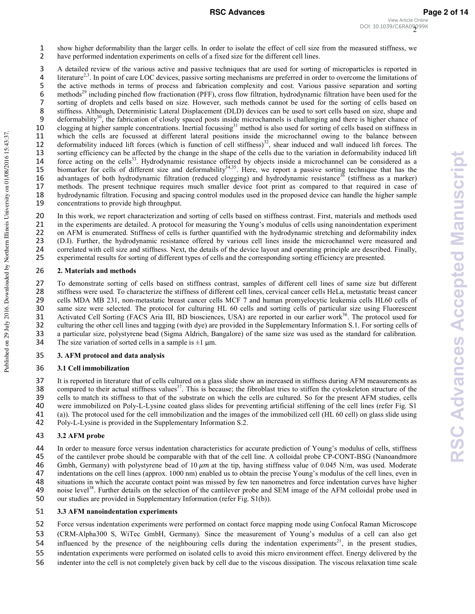3 A detailed review of the various active and passive techniques that are used for sorting of microparticles is reported in 4 . Iterature<sup>2,3</sup>. In point of care LOC devices, passive sorting mechanisms are preferred in order to overcome the limitations of 5 the active methods in terms of process and fabrication complexity and cost. Various passive separation and sorting 6 methods<sup>29</sup> including pinched flow fractionation (PFF), cross flow filtration, hydrodynamic filtration have been used for the 7 sorting of droplets and cells based on size. However, such methods cannot be used for the sorting of cells based on 8 stiffness. Although, Deterministic Lateral Displacement (DLD) devices can be used to sort cells based on size, shape and deformability<sup>30</sup>, the fabrication of closely spaced posts inside microchannels is challenging and deformability<sup>30</sup>, the fabrication of closely spaced posts inside microchannels is challenging and there is higher chance of 10 clogging at higher sample concentrations. Inertial focussing<sup>31</sup> method is also used for sorting of cells based on stiffness in<br>11 which the cells are focussed at different lateral positions inside the microchannel owin which the cells are focussed at different lateral positions inside the microchannel owing to the balance between 12 deformability induced lift forces (which is function of cell stiffness) $32$ , shear induced and wall induced lift forces. The 13 sorting efficiency can be affected by the change in the shape of the cells due to the variation in deformability induced lift force acting on the cells<sup>33</sup>. Hydrodynamic resistance offered by objects inside a microchannel can be considered as a 15 biomarker for cells of different size and deformability $34,35$ . Here, we report a passive sorting technique that has the 16 advantages of both hydrodynamic filtration (reduced clogging) and hydrodynamic resistance<sup>36</sup> (stiffness as a marker) 17 methods. The present technique requires much smaller device foot print as compared to that required in case of 18 hydrodynamic filtration. Focusing and spacing control modules used in the proposed device can handle the higher sample 19 concentrations to provide high throughput.

In this work, we report characterization and sorting of cells based on stiffness contrast. First, materials and methods used in the experiments are detailed. A protocol for measuring the Young's modulus of cells using nanoindentation experiment on AFM is enumerated. Stiffness of cells is further quantified with the hydrodynamic stretching and deformability index (D.I). Further, the hydrodynamic resistance offered by various cell lines inside the microchannel were measured and correlated with cell size and stiffness. Next, the details of the device layout and operating principle are described. Finally, experimental results for sorting of different types of cells and the corresponding sorting efficiency are presented.

# 26 2. Materials and methods

To demonstrate sorting of cells based on stiffness contrast, samples of different cell lines of same size but different stiffness were used. To characterize the stiffness of different cell lines, cervical cancer cells HeLa, metastatic breast cancer cells MDA MB 231, non-metastatic breast cancer cells MCF 7 and human promyelocytic leukemia cells HL60 cells of same size were selected. The protocol for culturing HL 60 cells and sorting cells of particular size using Fluorescent Activated Cell Sorting (FACS Aria III, BD biosciences, USA) are reported in our earlier work<sup>36</sup>. The protocol used for culturing the other cell lines and tagging (with dye) are provided in the Supplementary Information S.1. For sorting cells of a particular size, polystyrene bead (Sigma Aldrich, Bangalore) of the same size was used as the standard for calibration. 34 The size variation of sorted cells in a sample is  $\pm 1$  µm.

# 35 3. AFM protocol and data analysis

# 36 3.1 Cell immobilization

It is reported in literature that of cells cultured on a glass slide show an increased in stiffness during AFM measurements as 38 compared to their actual stiffness values<sup>37</sup>. This is because; the fibroblast tries to stiffen the cytoskeleton structure of the cells to match its stiffness to that of the substrate on which the cells are cultured. So for the present AFM studies, cells were immobilized on Poly-L-Lysine coated glass slides for preventing artificial stiffening of the cell lines (refer Fig. S1 (a)). The protocol used for the cell immobilization and the images of the immobilized cell (HL 60 cell) on glass slide using Poly-L-Lysine is provided in the Supplementary Information S.2.

# 43

44 In order to measure force versus indentation characteristics for accurate prediction of Young's modulus of cells, stiffness of the cantilever probe should be comparable with that of the cell line. A colloidal probe CP-C 45 of the cantilever probe should be comparable with that of the cell line. A colloidal probe CP-CONT-BSG (Nanoandmore 46 Gmbh, Germany) with polystyrene bead of 10  $\mu$ m at the tip, having stiffness value of 0.045 N/m, was used. Moderate 47 indentations on the cell lines (approx. 1000 nm) enabled us to obtain the precise Young's modulus of the cell lines, even in 48 situations in which the accurate contact point was missed by few ten nanometres and force indentation curves have higher 49 noise level<sup>38</sup>. Further details on the selection of the cantilever probe and SEM image of the AFM colloidal probe used in 50 our studies are provided in Supplementary Information (refer Fig. S1(b)).

# 51 3.3 AFM nanoindentation experiments

52 Force versus indentation experiments were performed on contact force mapping mode using Confocal Raman Microscope

- 53 (CRM-Alpha300 S, WiTec GmbH, Germany). Since the measurement of Young's modulus of a cell can also get
- 54 influenced by the presence of the neighbouring cells during the indentation experiments<sup>21</sup>, in the present studies,
- 55 indentation experiments were performed on isolated cells to avoid this micro environment effect. Energy delivered by the
- 56 indenter into the cell is not completely given back by cell due to the viscous dissipation. The viscous relaxation time scale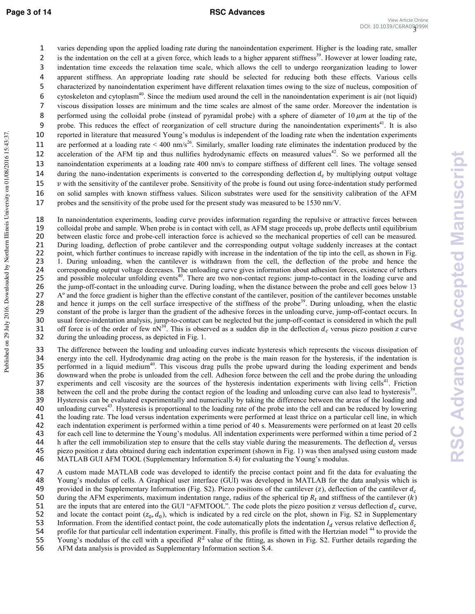## **Page 3 of 14 RSC Advances**

1 varies depending upon the applied loading rate during the nanoindentation experiment. Higher is the loading rate, smaller 2 is the indentation on the cell at a given force, which leads to a higher apparent stiffness<sup>39</sup>. However at lower loading rate, 3 indentation time exceeds the relaxation time scale, which allows the cell to undergo reorganization leading to lower 4 apparent stiffness. An appropriate loading rate should be selected for reducing both these effects. Various cells 5 characterized by nanoindentation experiment have different relaxation times owing to the size of nucleus, composition of 6 cytoskeleton and cytoplasm<sup>40</sup>. Since the medium used around the cell in the nanoindentation experiment is air (not liquid) 7 viscous dissipation losses are minimum and the time scales are almost of the same order. Moreover the indentation is 8 performed using the colloidal probe (instead of pyramidal probe) with a sphere of diameter of 10  $\mu$ m at the tip of the 9 probe. This reduces the effect of reorganization of cell structure during the nanoindentation experiments $41$ . It is also 10 reported in literature that measured Young's modulus is independent of the loading rate when the indentation experiments are performed at a loading rate  $\leq 400 \text{ nm/s}^{26}$ . Similarly, smaller loading rate eliminates the indentation produced by the acceleration of the AFM tip and thus nullifies hydrodynamic effects on measured values<sup>42</sup>. So we performed all the 13 nanoindentation experiments at a loading rate 400 nm/s to compare stiffness of different cell lines. The voltage sensed 14 during the nano-indentation experiments is converted to the corresponding deflection  $d_c$  by multiplying output voltage 15  $\nu$  with the sensitivity of the cantilever probe. Sensitivity of the probe is found out using force-indentation study performed 16 on solid samples with known stiffness values. Silicon substrates were used for the sensitivity calibration of the AFM 17 probes and the sensitivity of the probe used for the present study was measured to be 1530 nm/V.

18 In nanoindentation experiments, loading curve provides information regarding the repulsive or attractive forces between<br>19 colloidal probe and sample. When probe is in contact with cell, as AFM stage proceeds up, probe 19 colloidal probe and sample. When probe is in contact with cell, as AFM stage proceeds up, probe deflects until equilibrium 20 between elastic force and probe-cell interaction force is achieved so the mechanical properties of cell can be measured. 21 During loading, deflection of probe cantilever and the corresponding output voltage suddenly increases at the contact 22 point, which further continues to increase rapidly with increase in the indentation of the tip into the cell, as shown in Fig. 23 1. During unloading, when the cantilever is withdrawn from the cell, the deflection of the probe and hence the corresponding output voltage decreases. The unloading curve gives information about adhesion forces, existen 24 corresponding output voltage decreases. The unloading curve gives information about adhesion forces, existence of tethers and possible molecular unfolding events<sup>40</sup>. There are two non-contact regions: jump-to-contact in the loading curve and possible molecular unfolding events<sup>40</sup>. 26 the jump-off-contact in the unloading curve. During loading, when the distance between the probe and cell goes below 13 27 Aº and the force gradient is higher than the effective constant of the cantilever, position of the cantilever becomes unstable and hence it jumps on the cell surface irrespective of the stiffness of the probe<sup>39</sup>. During unloading, when the elastic constant of the probe is larger than the gradient of the adhesive forces in the unloading curve, ju constant of the probe is larger than the gradient of the adhesive forces in the unloading curve, jump-off-contact occurs. In 30 usual force-indentation analysis, jump-to-contact can be neglected but the jump-off-contact is considered in which the pull 31 off force is of the order of few nN<sup>39</sup>. This is observed as a sudden dip in the deflection  $d_c$  versus piezo position z curve 32 during the unloading process, as depicted in Fig. 1.

33 The difference between the loading and unloading curves indicate hysteresis which represents the viscous dissipation of energy into the cell. Hydrodynamic drag acting on the probe is the main reason for the hysteresis, 34 energy into the cell. Hydrodynamic drag acting on the probe is the main reason for the hysteresis, if the indentation is<br>35 performed in a liquid medium<sup>40</sup>. This viscous drag pulls the probe upward during the loading e 35 . performed in a liquid medium<sup>40</sup>. This viscous drag pulls the probe upward during the loading experiment and bends  $\frac{36}{100}$  downward when the probe is unloaded from the cell. Adhesion force between the cell and t 36 downward when the probe is unloaded from the cell. Adhesion force between the cell and the probe during the unloading experiments and cell viscosity are the sources of the hysteresis indentation experiments with living experiments and cell viscosity are the sources of the hysteresis indentation experiments with living cells<sup>41</sup>. Friction Between the cell and the probe during the contact region of the loading and unloading curve can also lead to hysteresis $39$ . 39 Hysteresis can be evaluated experimentally and numerically by taking the difference between the areas of the loading and 40 unloading curves<sup>43</sup>. Hysteresis is proportional to the loading rate of the probe into the cell and can be reduced by lowering 41 the loading rate. The load versus indentation experiments were performed at least thrice on a particular cell line, in which 42 each indentation experiment is performed within a time period of 40 s. Measurements were performed on at least 20 cells 43 for each cell line to determine the Young's modulus. All indentation experiments were performed within a time period of 2 44 h after the cell immobilization step to ensure that the cells stay viable during the measurements. The deflection  $d_c$  versus 45 piezo position z data obtained during each indentation experiment (shown in Fig. 1) was then analysed using custom made 46 MATLAB GUI AFM TOOL (Supplementary Information S.4) for evaluating the Young's modulus.

47 A custom made MATLAB code was developed to identify the precise contact point and fit the data for evaluating the 48 Young's modulus of cells. A Graphical user interface (GUI) was developed in MATLAB for the data analysis which is 49 provided in the Supplementary Information (Fig. S2). Piezo positions of the cantilever  $(z)$ , deflection of the cantilever  $d_c$ 50 during the AFM experiments, maximum indentation range, radius of the spherical tip  $R_t$  and stiffness of the cantilever  $(k)$ <br>51 are the inputs that are entered into the GUI "AFMTOOL". The code plots the piezo position 51 are the inputs that are entered into the GUI "AFMTOOL". The code plots the piezo position z versus deflection  $d_c$  curve, 52 and locate the contact point  $(z_0, d_0)$ , which is indicated by a red circle on the plot, shown in Fig. S2 in Supplementary 53 Information. From the identified contact point, the code automatically plots the indentation  $l_d$  versus relative deflection  $\delta_c$  profile for that particular cell indentation experiment. Finally, this profile is fitte 54 profile for that particular cell indentation experiment. Finally, this profile is fitted with the Hertzian model <sup>44</sup> to provide the 55 Young's modulus of the cell with a specified  $R^2$  value of the fitting, as shown in Fig. S2. Further details regarding the 56 AFM data analysis is provided as Supplementary Information section S.4.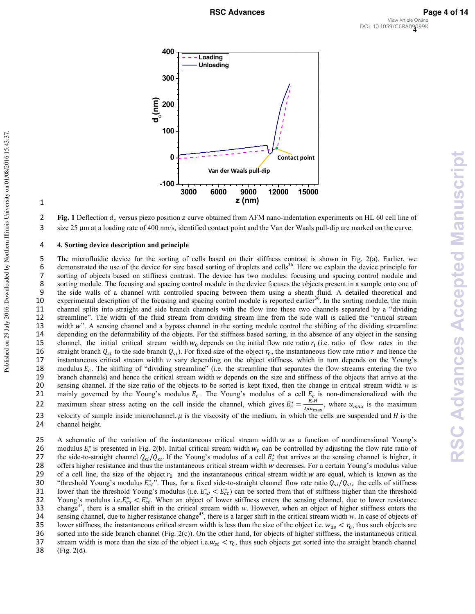4 DOI: 10.1039/C6RA09099K**RSC Advances Page 4 of 14**View Article Online



**2** Fig. 1 Deflection  $d_c$  versus piezo position z curve obtained from AFM nano-indentation experiments on HL 60 cell line of 3 size 25 μm at a loading rate of 400 nm/s, identified contact point and the Van der Waals pull-dip are marked on the curve.

## 4 **4. Sorting device description and principle**

5 The microfluidic device for the sorting of cells based on their stiffness contrast is shown in Fig. 2(a). Earlier, we 6 demonstrated the use of the device for size based sorting of droplets and cells<sup>36</sup>. Here we explain the device principle for 7 sorting of objects based on stiffness contrast. The device has two modules: focusing and spacing control module and 8 sorting module. The focusing and spacing control module in the device focuses the objects present in a sample onto one of 9 the side walls of a channel with controlled spacing between them using a sheath fluid. A detailed theoretical and 10 experimental description of the focusing and spacing control module is reported earlier<sup>36</sup>. In the sorting module, the main 11 channel splits into straight and side branch channels with the flow into these two channels separated by a "dividing 12 streamline". The width of the fluid stream from dividing stream line from the side wall is called the "critical stream 13 width w". A sensing channel and a bypass channel in the sorting module control the shifting of the dividing streamline 14 depending on the deformability of the objects. For the stiffness based sorting, in the absence of any object in the sensing 15 channel, the initial critical stream width  $w_0$  depends on the initial flow rate ratio  $r_i$  (i.e. ratio of flow rates in the 16 straight branch  $Q_{st}$  to the side branch  $Q_{si}$ ). For fixed size of the object  $r_0$ , the instantaneous flow rate ratio r and hence the instantaneous critical stream width w vary depending on the object stiffness, whi instantaneous critical stream width *w* vary depending on the object stiffness, which in turn depends on the Young's 18 modulus  $E_c$ . The shifting of "dividing streamline" (i.e. the streamline that separates the flow streams entering the two 19 branch channels) and hence the critical stream width w depends on the size and stiffness of the objects that arrive at the 20 sensing channel. If the size ratio of the objects to be sorted is kept fixed, then the change in critical stream width *"* is 21 mainly governed by the Young's modulus  $E_c$ . The Young's modulus of a cell  $E_c$  is non-dimensionalized with the maximum shear stress acting on the cell inside the channel, which gives  $E_c^* = \frac{E_c H}{2m_{\text{min}}}$ 22 maximum shear stress acting on the cell inside the channel, which gives  $E_c^* = \frac{E_c H}{2\mu u_{\text{max}}}$ , where  $u_{\text{max}}$  is the maximum 23 velocity of sample inside microchannel,  $\mu$  is the viscosity of the medium, in which the cells are suspended and  $H$  is the 24 channel height.

25 A schematic of the variation of the instantaneous critical stream width  $w$  as a function of nondimensional Young's 26 modulus  $E_c^*$  is presented in Fig. 2(b). Initial critical stream width  $w_0$  can be controlled by adjusting the flow rate ratio of 27 the side-to-straight channel  $Q_{s} / Q_{st}$ . If the Young's modulus of a cell  $E_c^*$  that arrives at the sensing channel is higher, it 28 offers higher resistance and thus the instantaneous critical stream width w decreases. For a certain Young's modulus value 29 of a cell line, the size of the object  $r_0$  and the instantaneous critical stream width w are equal, which is known as the "threshold Young's modulus  $E_{cr}^*$ ". Thus, for a fixed side-to-straight channel flow rate rat 30 "threshold Young's modulus  $E_{ct}^{*}$ ". Thus, for a fixed side-to-straight channel flow rate ratio  $Q_{si}/Q_{st}$ , the cells of stiffness 31 lower than the threshold Young's modulus (i.e.  $E_{cd}^* < E_{ct}^*$ ) can be sorted from that of stiffness higher than the threshold 32 Young's modulus i.e.  $E_{cs}^* < E_{ct}^*$ . When an object of lower stiffness enters the sensing channel, due to lower resistance 33 change<sup>45</sup>, there is a smaller shift in the critical stream width *w*. However, when an object of higher stiffness enters the sensing channel, due to higher resistance change<sup>45</sup>, there is a larger shift in the critical stream width *w*. In case of objects of 35 lower stiffness, the instantaneous critical stream width is less than the size of the object i.e.  $w_{de} < r_0$ , thus such objects are 36 sorted into the side branch channel (Fig. 2(c)). On the other hand, for objects of higher stiffness, the instantaneous critical 37 stream width is more than the size of the object i.e.  $w_{st} < r_0$ , thus such objects get sorted into the straight branch channel (Fig. 2(d).  $(Fig. 2(d).$ 

1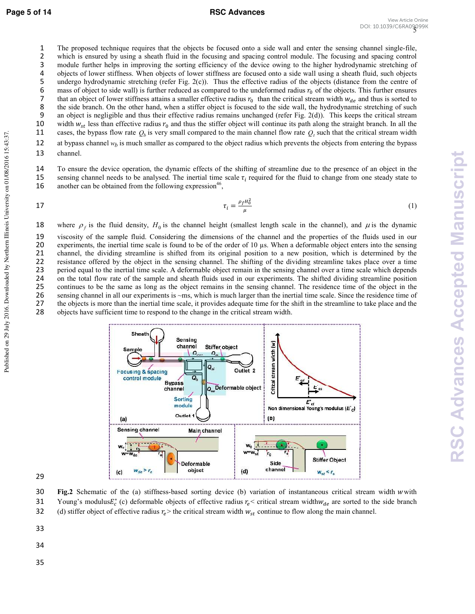Published on 29 July 2016. Downloaded by Northern Illinois University on 01/08/2016 15:43:37.

Published on 29 July 2016. Downloaded by Northern Illinois University on 01/08/2016 15:43:37

1 The proposed technique requires that the objects be focused onto a side wall and enter the sensing channel single-file, 2 which is ensured by using a sheath fluid in the focusing and spacing control module. The focusing and spacing control 3 module further helps in improving the sorting efficiency of the device owing to the higher hydrodynamic stretching of 4 objects of lower stiffness. When objects of lower stiffness are focused onto a side wall using a sheath fluid, such objects undergo hydrodynamic stretching (refer Fig. 2(c)). Thus the effective radius of the objects (dis undergo hydrodynamic stretching (refer Fig. 2(c)). Thus the effective radius of the objects (distance from the centre of 6 mass of object to side wall) is further reduced as compared to the undeformed radius  $r_0$  of the objects. This further ensures<br>7 that an object of lower stiffness attains a smaller effective radius  $r_0$  than the criti 7 that an object of lower stiffness attains a smaller effective radius  $r_0$  than the critical stream width  $w_{de}$  and thus is sorted to 8 the side branch. On the other hand, when a stiffer object is focused to the side wall, the hydrodynamic stretching of such 9 an object is negligible and thus their effective radius remains unchanged (refer Fig. 2(d)). Th

an object is negligible and thus their effective radius remains unchanged (refer Fig. 2(d)). This keeps the critical stream 10 width  $w_{st}$  less than effective radius  $r_0$  and thus the stiffer object will continue its path along the straight branch. In all the cases, the bypass flow rate  $Q_h$  is very small compared to the main channel flow ra 11 cases, the bypass flow rate  $Q_b$  is very small compared to the main channel flow rate  $Q_t$  such that the critical stream width

12 at bypass channel  $w_b$  is much smaller as compared to the object radius which prevents the objects from entering the bypass

13 channel.

14 To ensure the device operation, the dynamic effects of the shifting of streamline due to the presence of an object in the 15 sensing channel needs to be analysed. The inertial time scale  $\tau_i$  required for the fluid to change from one steady state to another can be obtained from the following expression<sup>46</sup>. another can be obtained from the following expression<sup>46</sup>.

$$
\tau_i = \frac{\rho_f H_0^2}{\mu} \tag{1}
$$

18 where  $\rho_f$  is the fluid density,  $H_0$  is the channel height (smallest length scale in the channel), and  $\mu$  is the dynamic

viscosity of the sample fluid. Considering the dimensions of the channel and the properties of the fluids used in our experiments, the inertial time scale is found to be of the order of 10 µs. When a deformable object enters into the sensing channel, the dividing streamline is shifted from its original position to a new position, which is determined by the resistance offered by the object in the sensing channel. The shifting of the dividing streamline takes place over a time period equal to the inertial time scale. A deformable object remain in the sensing channel over a time scale which depends on the total flow rate of the sample and sheath fluids used in our experiments. The shifted dividing streamline position continues to be the same as long as the object remains in the sensing channel. The residence time of the object in the sensing channel in all our experiments is ~ms, which is much larger than the inertial time scale. Since the residence time of the objects is more than the inertial time scale, it provides adequate time for the shift in the streamline to take place and the objects have sufficient time to respond to the change in the critical stream width.

Stiffer object

Outlet<sub>2</sub>

 $(d)$ 

Q<sub>so</sub>Deformable object

 $Q_{st}$ Q<sub>si</sub>

Critical stream width (w)

 $(b)$ 

 $r_{\rm d}$ 

Side

channel

 $\boldsymbol{E}_{et}$ 

Non dimensional Young's modulus  $(E_C)$ 

Stiffer Object

 $W_{st}$  <  $r_e$ 

Sheath

**Focusing & spacing** control module

Sensing channel

 $W_{de} > r_e$ 

Sample

 $(a)$ 

 $(c)$ 

Sensing

channel

**Bypass** 

channel Sorting

module

Outlet

 $\circ$ 

 $Q_{h}$ 

Main channel

Deformable

object



34

35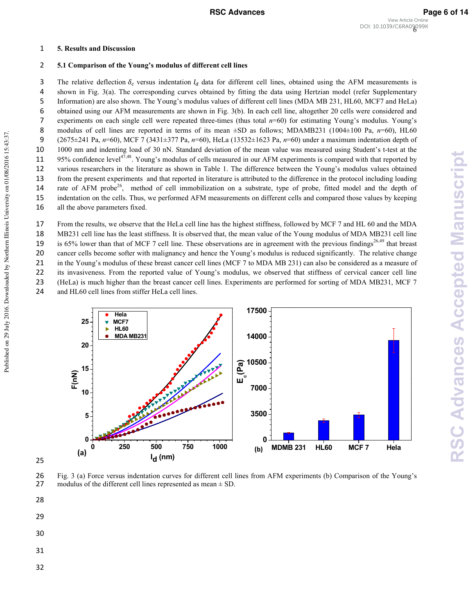# 1 5. Results and Discussion

## 2 5.1 Comparison of the Young's modulus of different cell lines

The relative deflection  $\delta_c$  versus indentation  $I_d$  data for different cell lines, obtained using the AFM measurements is 4 shown in Fig. 3(a). The corresponding curves obtained by fitting the data using Hertzian model (refer Supplementary 5 Information) are also shown. The Young's modulus values of different cell lines (MDA MB 231, HL60, MCF7 and HeLa) 6 obtained using our AFM measurements are shown in Fig. 3(b). In each cell line, altogether 20 cells were considered and 7 experiments on each single cell were repeated three-times (thus total  $n=60$ ) for estimating Young's modulus. Young's 8 modulus of cell lines are reported in terms of its mean  $\pm$ SD as follows; MDAMB231 (1004 $\pm$ 100 Pa,  $n=60$ ), HL60 9 (2675±241 Pa, n=60), MCF 7 (3431±377 Pa, n=60), HeLa (13532±1623 Pa, n=60) under a maximum indentation depth of 10 1000 nm and indenting load of 30 nN. Standard deviation of the mean value was measured using Student's t-test at the 11 95% confidence level<sup>47,48</sup>. Young's modulus of cells measured in our AFM experiments is compared with that reported by 12 various researchers in the literature as shown in Table 1. The difference between the Young's modulus values obtained 13 from the present experiments and that reported in literature is attributed to the difference in the protocol including loading 14 rate of AFM probe<sup>26</sup>, method of cell immobilization on a substrate, type of probe, fitted model and the depth of 15 indentation on the cells. Thus, we performed AFM measurements on different cells and compared those values by keeping 16 all the above parameters fixed.

From the results, we observe that the HeLa cell line has the highest stiffness, followed by MCF 7 and HL 60 and the MDA MB231 cell line has the least stiffness. It is observed that, the mean value of the Young modulus of MDA MB231 cell line 19 is 65% lower than that of MCF 7 cell line. These observations are in agreement with the previous findings<sup>26,49</sup> that breast cancer cells become softer with malignancy and hence the Young's modulus is reduced significantly. The relative change in the Young's modulus of these breast cancer cell lines (MCF 7 to MDA MB 231) can also be considered as a measure of its invasiveness. From the reported value of Young's modulus, we observed that stiffness of cervical cancer cell line (HeLa) is much higher than the breast cancer cell lines. Experiments are performed for sorting of MDA MB231, MCF 7 and HL60 cell lines from stiffer HeLa cell lines.





28

25

Published on 29 July 2016. Downloaded by Northern Illinois University on 01/08/2016 15:43:37.

Published on 29 July 2016. Downloaded by Northern Illinois University on 01/08/2016 15:43:37

- 29
- 30
- 
- 31
- 32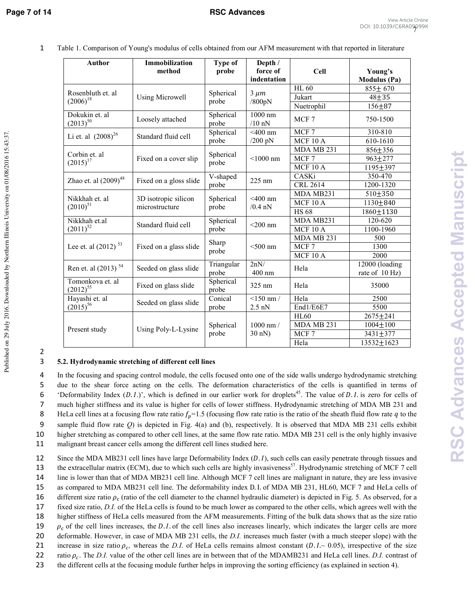| <b>Author</b>                      | <b>Immobilization</b><br>method        | <b>Type of</b><br>probe | Depth /<br>force of<br>indentation | <b>Cell</b>      | Young's<br><b>Modulus</b> (Pa)   |
|------------------------------------|----------------------------------------|-------------------------|------------------------------------|------------------|----------------------------------|
|                                    | <b>Using Microwell</b>                 | Spherical<br>probe      | $3 \mu m$<br>/800pN                | <b>HL 60</b>     | $855 \pm 670$                    |
| Rosenbluth et. al<br>$(2006)^{18}$ |                                        |                         |                                    | Jukart           | $48 + 35$                        |
|                                    |                                        |                         |                                    | Nuetrophil       | $156 + 87$                       |
| Dokukin et. al<br>$(2013)^{50}$    | Loosely attached                       | Spherical<br>probe      | 1000 nm<br>$/10$ nN                | MCF 7            | 750-1500                         |
|                                    | Standard fluid cell                    | Spherical<br>probe      | $\overline{400}$ nm                | MCF <sub>7</sub> | 310-810                          |
| Li et. al $(2008)^{26}$            |                                        |                         | $/200$ pN                          | <b>MCF 10 A</b>  | 610-1610                         |
|                                    | Fixed on a cover slip                  | Spherical<br>probe      | $<$ 1000 nm                        | MDA MB 231       | 856±356                          |
| Corbin et. al<br>$(2015)^{17}$     |                                        |                         |                                    | MCF 7            | $963 \pm 277$                    |
|                                    |                                        |                         |                                    | $MCF$ 10 A       | 1195±397                         |
|                                    | Fixed on a gloss slide                 | V-shaped<br>probe       | 225 nm                             | CASKi            | 350-470                          |
| Zhao et. al $(2009)^{48}$          |                                        |                         |                                    | CRL 2614         | 1200-1320                        |
|                                    | 3D isotropic silicon<br>microstructure | Spherical<br>probe      | $<$ 400 nm<br>$/0.4$ nN            | MDA MB231        | 510±350                          |
| Nikkhah et. al<br>$(2010)^{51}$    |                                        |                         |                                    | <b>MCF 10 A</b>  | $1130 + 840$                     |
|                                    |                                        |                         |                                    | <b>HS68</b>      | 1860±1130                        |
| Nikkhah et al<br>$(2011)^{52}$     | Standard fluid cell                    | Spherical<br>probe      | $<$ 200 nm                         | MDA MB231        | 120-620                          |
|                                    |                                        |                         |                                    | $MCF$ 10 A       | 1100-1960                        |
| Lee et. al (2012) <sup>53</sup>    | Fixed on a glass slide                 | Sharp<br>probe          | $<$ 500 nm                         | MDA MB 231       | 500                              |
|                                    |                                        |                         |                                    | MCF <sub>7</sub> | 1300                             |
|                                    |                                        |                         |                                    | MCF 10 A         | 2000                             |
| Ren et. al (2013) <sup>54</sup>    | Seeded on glass slide                  | Triangular<br>probe     | 2nN/<br>$400$ nm                   | Hela             | 12000 (loading<br>rate of 10 Hz) |
| Tomonkova et. al<br>$(2012)^{55}$  | Fixed on glass slide                   | Spherical<br>probe      | 325 nm                             | Hela             | 35000                            |
| Hayashi et. al                     | Seeded on glass slide                  | Conical                 | $<$ 150 nm /                       | Hela             | 2500                             |
| $(2015)^{56}$                      |                                        | probe                   | $2.5$ nN                           | End1/E6E7        | 5500                             |
| Present study                      | Using Poly-L-Lysine                    | Spherical<br>probe      | $1000 \text{ nm}$ /<br>30 nN)      | <b>HL60</b>      | 2675±241                         |
|                                    |                                        |                         |                                    | MDA MB 231       | $1004 \pm 100$                   |
|                                    |                                        |                         |                                    | MCF7             | 3431±377                         |
|                                    |                                        |                         |                                    | Hela             | $13532 \pm 1623$                 |

1 Table 1. Comparison of Young's modulus of cells obtained from our AFM measurement with that reported in literature

Published on 29 July 2016. Downloaded by Northern Illinois University on 01/08/2016 15:43:37.

Published on 29 July 2016. Downloaded by Northern Illinois University on 01/08/2016 15:43:37

2

# 3 5.2. Hydrodynamic stretching of different cell lines

In the focusing and spacing control module, the cells focused onto one of the side walls undergo hydrodynamic stretching due to the shear force acting on the cells. The deformation characteristics of the cells is quantified in terms of 6 'Deformability Index  $(D. L)$ ', which is defined in our earlier work for droplets<sup>45</sup>. The value of D.I. is zero for cells of much higher stiffness and its value is higher for cells of lower stiffness. Hydrodynamic stretching of MDA MB 231 and 8 HeLa cell lines at a focusing flow rate ratio  $f_p=1.5$  (focusing flow rate ratio is the ratio of the sheath fluid flow rate q to the 9 sample fluid flow rate *Q*) is depicted in Fig. 4(a) and (b), respectively. It is observed that MDA MB 231 cells exhibit higher stretching as compared to other cell lines, at the same flow rate ratio. MDA MB 231 cell is the only highly invasive malignant breast cancer cells among the different cell lines studied here.

12 Since the MDA MB231 cell lines have large Deformability Index  $(D, I)$ , such cells can easily penetrate through tissues and the extracellular matrix (ECM), due to which such cells are highly invasiveness<sup>57</sup>. Hydrodynamic stretching of MCF 7 cell 14 line is lower than that of MDA MB231 cell line. Although MCF 7 cell lines are malignant in nature, they are less invasive 15 as compared to MDA MB231 cell line. The deformability index D. I. of MDA MB 231, HL60, MCF 7 and HeLa cells of 16 different size ratio  $\rho_c$  (ratio of the cell diameter to the channel hydraulic diameter) is depicted in Fig. 5. As observed, for a 17 fixed size ratio, *D.I*. of the HeLa cells is found to be much lower as compared to the other cells, which agrees well with the 18 higher stiffness of HeLa cells measured from the AFM measurements. Fitting of the bulk data shows that as the size ratio  $\mu_c$  of the cell lines increases, the D.I. of the cell lines also increases linearly, which indicates the larger cells are more 20 deformable. However, in case of MDA MB 231 cells, the *D.I.* increases much faster (with a much steeper slope) with the 21 increase in size ratio  $\rho_c$ , whereas the *D.I*. of HeLa cells remains almost constant (*D.I.* ~ 0.05), irrespective of the size 22 ratio  $\rho_c$ . The *D.I.* value of the other cell lines are in between that of the MDAMB231 and HeLa cell lines. *D.I.* contrast of 23 the different cells at the focusing module further helps in improving the sorting efficiency (as explained in section 4).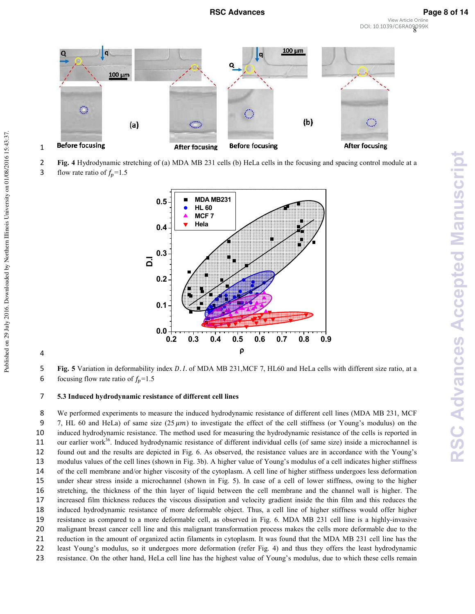View Article Online

8 DOI: 10.1039/C6RA09099K



- 2 Hydrodynamic stretching of (a) MDA MB 231 cells (b) HeLa cells in the focusing and spacing control module at a
- 3 flow rate ratio of  $f_p = 1.5$

1

4



**5 Fig. 5** Variation in deformability index D.I. of MDA MB 231, MCF 7, HL60 and HeLa cells with different size ratio, at a 6 focusing flow rate ratio of  $f_p = 1.5$ 

# 7 5.3 Induced hydrodynamic resistance of different cell lines

We performed experiments to measure the induced hydrodynamic resistance of different cell lines (MDA MB 231, MCF 9 7, HL 60 and HeLa) of same size  $(25 \mu m)$  to investigate the effect of the cell stiffness (or Young's modulus) on the induced hydrodynamic resistance. The method used for measuring the hydrodynamic resistance of the cells is reported in 11 our earlier work<sup>36</sup>. Induced hydrodynamic resistance of different individual cells (of same size) inside a microchannel is found out and the results are depicted in Fig. 6. As observed, the resistance values are in accordance with the Young's modulus values of the cell lines (shown in Fig. 3b). A higher value of Young's modulus of a cell indicates higher stiffness of the cell membrane and/or higher viscosity of the cytoplasm. A cell line of higher stiffness undergoes less deformation under shear stress inside a microchannel (shown in Fig. 5). In case of a cell of lower stiffness, owing to the higher stretching, the thickness of the thin layer of liquid between the cell membrane and the channel wall is higher. The increased film thickness reduces the viscous dissipation and velocity gradient inside the thin film and this reduces the induced hydrodynamic resistance of more deformable object. Thus, a cell line of higher stiffness would offer higher resistance as compared to a more deformable cell, as observed in Fig. 6. MDA MB 231 cell line is a highly-invasive malignant breast cancer cell line and this malignant transformation process makes the cells more deformable due to the reduction in the amount of organized actin filaments in cytoplasm. It was found that the MDA MB 231 cell line has the least Young's modulus, so it undergoes more deformation (refer Fig. 4) and thus they offers the least hydrodynamic resistance. On the other hand, HeLa cell line has the highest value of Young's modulus, due to which these cells remain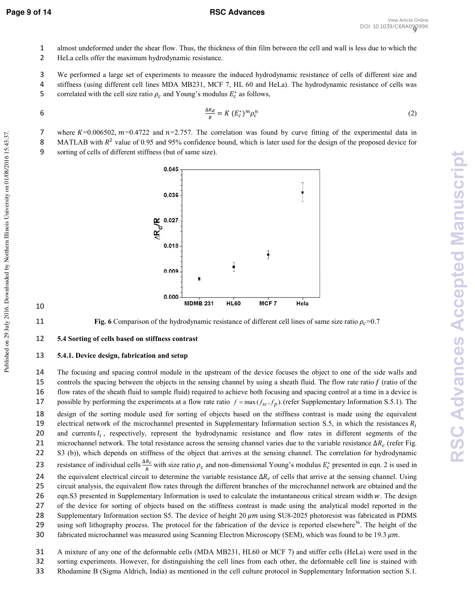**RSC Advances Accepted Manuscript**

**RSC Advances Accepted Manuscript** 

- 1 almost undeformed under the shear flow. Thus, the thickness of thin film between the cell and wall is less due to which the
- 2 HeLa cells offer the maximum hydrodynamic resistance.
- 3 We performed a large set of experiments to measure the induced hydrodynamic resistance of cells of different size and
- 4 stiffness (using different cell lines MDA MB231, MCF 7, HL 60 and HeLa). The hydrodynamic resistance of cells was
- 5 correlated with the cell size ratio  $\rho_c$  and Young's modulus  $E_c^*$  as follows,

$$
\frac{\Delta R_d}{R} = K \left( E_c^* \right)^m \rho_c^n \tag{2}
$$

7 where  $K=0.006502$ ,  $m=0.4722$  and  $n=2.757$ . The correlation was found by curve fitting of the experimental data in

8 MATLAB with  $R^2$  value of 0.95 and 95% confidence bound, which is later used for the design of the proposed device for

9 sorting of cells of different stiffness (but of same size).



# 11 **Fig. 6** Comparison of the hydrodynamic resistance of different cell lines of same size ratio  $\rho_c$ =0.7

10

# 12 5.4 Sorting of cells based on stiffness contrast

# 13 5.4.1. Device design, fabrication and setup

14 The focusing and spacing control module in the upstream of the device focuses the object to one of the side walls and 15 controls the spacing between the objects in the sensing channel by using a sheath fluid. The flow rate ratio  $f$  (ratio of the 16 flow rates of the sheath fluid to sample fluid) required to achieve both focusing and spacing control at a time in a device is 17 possible by performing the experiments at a flow rate ratio  $f = \max(f_{sc}, f_p)$ . (refer Supplementary Information S.5.1). The 18 design of the sorting module used for sorting of objects based on the stiffness contrast is made using the equivalent 19 electrical network of the microchannel presented in Supplementary Information section S.5, in which the resistances  $R_i$ 20 and currents  $I_i$ , respectively, represent the hydrodynamic resistance and flow rates in different segments of the 21 microchannel network. The total resistance across the sensing channel varies due to the variable resistance  $\Delta R_c$  (refer Fig. 22 S3 (b)), which depends on stiffness of the object that arrives at the sensing channel. The correlation for hydrodynamic 23 resistance of individual cells  $\frac{\Delta R_c}{R}$  with size ratio  $\rho_c$  and non-dimensional Young's modulus  $E_c^*$  presented in eqn. 2 is used in 24 the equivalent electrical circuit to determine the variable resistance  $\Delta R_c$  of cells that arrive at the sensing channel. Using 25 circuit analysis, the equivalent flow rates through the different branches of the microchannel network are obtained and the 26 eqn.S3 presented in Supplementary Information is used to calculate the instantaneous critical stream width w. The design 27 of the device for sorting of objects based on the stiffness contrast is made using the analytical model reported in the 28 Supplementary Information section S5. The device of height 20  $\mu$ m using SU8-2025 photoresist was fabricated in PDMS 29 using soft lithography process. The protocol for the fabrication of the device is reported elsewhere $36$ . The height of the 30 fabricated microchannel was measured using Scanning Electron Microscopy (SEM), which was found to be 19.3  $\mu$ m.

- 31 A mixture of any one of the deformable cells (MDA MB231, HL60 or MCF 7) and stiffer cells (HeLa) were used in the
- 32 sorting experiments. However, for distinguishing the cell lines from each other, the deformable cell line is stained with
- 33 Rhodamine B (Sigma Aldrich, India) as mentioned in the cell culture protocol in Supplementary Information section S.1.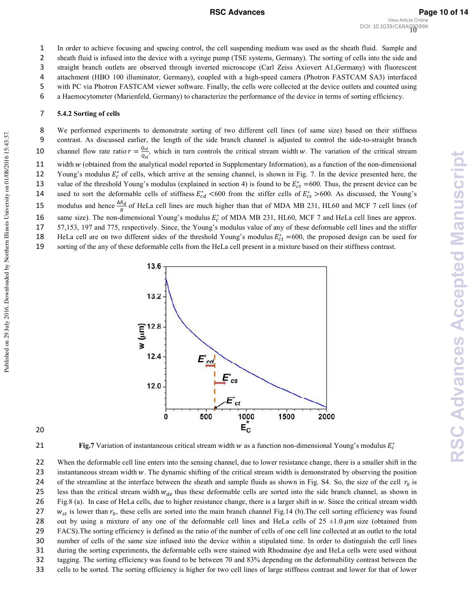# **RSC Advances Page 10 of 14**

2 sheath fluid is infused into the device with a syringe pump (TSE systems, Germany). The sorting of cells into the side and 3 straight branch outlets are observed through inverted microscope (Carl Zeiss Axiovert A1,Germany) with fluorescent

4 attachment (HBO 100 illuminator, Germany), coupled with a high-speed camera (Photron FASTCAM SA3) interfaced

5 with PC via Photron FASTCAM viewer software. Finally, the cells were collected at the device outlets and counted using

6 a Haemocytometer (Marienfeld, Germany) to characterize the performance of the device in terms of sorting efficiency.

# 7 5.4.2 Sorting of cells

8 We performed experiments to demonstrate sorting of two different cell lines (of same size) based on their stiffness 9 contrast. As discussed earlier, the length of the side branch channel is adjusted to control the side-to-straight branch channel flow rate ratio  $r = \frac{Q_{st}}{Q}$ 10 channel flow rate ratio  $r = \frac{Q_{st}}{Q_{st}}$ , which in turn controls the critical stream width w. The variation of the critical stream 11 width  $w$  (obtained from the analytical model reported in Supplementary Information), as a function of the non-dimensional 12 Young's modulus  $E_c^*$  of cells, which arrive at the sensing channel, is shown in Fig. 7. In the device presented here, the 13 value of the threshold Young's modulus (explained in section 4) is found to be  $E_{ct}^*$  =600. Thus, the present device can be 14 used to sort the deformable cells of stiffness  $E_{cd}^*$  <600 from the stiffer cells of  $E_{cs}^*$  >600. As discussed, the Young's 15 modulus and hence  $\frac{\Delta R_d}{R}$  of HeLa cell lines are much higher than that of MDA MB 231, HL60 and MCF 7 cell lines (of 16 same size). The non-dimensional Young's modulus  $E_c^*$  of MDA MB 231, HL60, MCF 7 and HeLa cell lines are approx. 17 57,153, 197 and 775, respectively. Since, the Young's modulus value of any of these deformable cell lines and the stiffer 18 HeLa cell are on two different sides of the threshold Young's modulus  $E_{ct}^*$  =600, the proposed design can be used for 19 sorting of the any of these deformable cells from the HeLa cell present in a mixture based on their stiffness contrast.



Published on 29 July 2016. Downloaded by Northern Illinois University on 01/08/2016 15:43:37.

Published on 29 July 2016. Downloaded by Northern Illinois University on 01/08/2016 15:43:37

**21 b Fig.7** Variation of instantaneous critical stream width  $w$  as a function non-dimensional Young's modulus  $E_c^*$ 

22 When the deformable cell line enters into the sensing channel, due to lower resistance change, there is a smaller shift in the 23 instantaneous stream width w. The dynamic shifting of the critical stream width is demonstrated by observing the position 24 of the streamline at the interface between the sheath and sample fluids as shown in Fig. S4. So, the size of the cell  $r_0$  is 25 less than the critical stream width  $w_{de}$  thus these deformable cells are sorted into the side branch channel, as shown in 26 Fig.8 (a). In case of HeLa cells, due to higher resistance change, there is a larger shift in  $w$ . Since the critical stream width 27  $w_{st}$  is lower than  $r_0$ , these cells are sorted into the main branch channel Fig.14 (b). The cell sorting efficiency was found 28 out by using a mixture of any one of the deformable cell lines and HeLa cells of  $25 \pm 1.0 \,\mu m$  size (obtained from 29 FACS).The sorting efficiency is defined as the ratio of the number of cells of one cell line collected at an outlet to the total 30 number of cells of the same size infused into the device within a stipulated time. In order to distinguish the cell lines 31 during the sorting experiments, the deformable cells were stained with Rhodmaine dye and HeLa cells were used without 32 tagging. The sorting efficiency was found to be between 70 and 83% depending on the deformability contrast between the 33 cells to be sorted. The sorting efficiency is higher for two cell lines of large stiffness contrast and lower for that of lower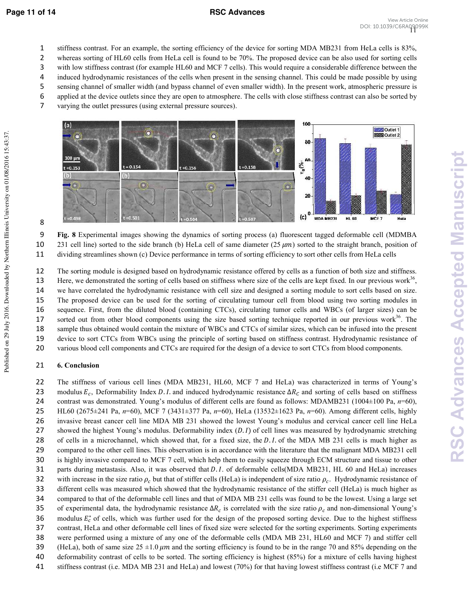- stiffness contrast. For an example, the sorting efficiency of the device for sorting MDA MB231 from HeLa cells is 83%,
- whereas sorting of HL60 cells from HeLa cell is found to be 70%. The proposed device can be also used for sorting cells
- with low stiffness contrast (for example HL60 and MCF 7 cells). This would require a considerable difference between the induced hydrodynamic resistances of the cells when present in the sensing channel. This could be made possible by using
- sensing channel of smaller width (and bypass channel of even smaller width). In the present work, atmospheric pressure is
- applied at the device outlets since they are open to atmosphere. The cells with close stiffness contrast can also be sorted by
- varying the outlet pressures (using external pressure sources).



**1** Experimental images showing the dynamics of sorting process (a) fluorescent tagged deformable cell (MDMBA 10 231 cell line) sorted to the side branch (b) HeLa cell of same diameter  $(25 \mu m)$  sorted to the straight branch, position of dividing streamlines shown (c) Device performance in terms of sorting efficiency to sort other cells from HeLa cells

The sorting module is designed based on hydrodynamic resistance offered by cells as a function of both size and stiffness. Here, we demonstrated the sorting of cells based on stiffness where size of the cells are kept fixed. In our previous work, we have correlated the hydrodynamic resistance with cell size and designed a sorting module to sort cells based on size. The proposed device can be used for the sorting of circulating tumour cell from blood using two sorting modules in sequence. First, from the diluted blood (containing CTCs), circulating tumor cells and WBCs (of larger sizes) can be 17 sorted out from other blood components using the size based sorting technique reported in our previous work. The sample thus obtained would contain the mixture of WBCs and CTCs of similar sizes, which can be infused into the present device to sort CTCs from WBCs using the principle of sorting based on stiffness contrast. Hydrodynamic resistance of various blood cell components and CTCs are required for the design of a device to sort CTCs from blood components.

# **6. Conclusion**

The stiffness of various cell lines (MDA MB231, HL60, MCF 7 and HeLa) was characterized in terms of Young's 23 modulus  $E_c$ , Deformability Index D.I. and induced hydrodynamic resistance  $\Delta R_c$  and sorting of cells based on stiffness 24 contrast was demonstrated. Young's modulus of different cells are found as follows: MDAMB231 (1004 $\pm$ 100 Pa,  $n=60$ ), HL60 (2675±241 Pa, =60), MCF 7 (3431±377 Pa, =60), HeLa (13532±1623 Pa, =60). Among different cells, highly invasive breast cancer cell line MDA MB 231 showed the lowest Young's modulus and cervical cancer cell line HeLa 27 showed the highest Young's modulus. Deformability index  $(D. I)$  of cell lines was measured by hydrodynamic stretching 28 of cells in a microchannel, which showed that, for a fixed size, the *D.I.* of the MDA MB 231 cells is much higher as compared to the other cell lines. This observation is in accordance with the literature that the malignant MDA MB231 cell is highly invasive compared to MCF 7 cell, which help them to easily squeeze through ECM structure and tissue to other 31 parts during metastasis. Also, it was observed that D.I. of deformable cells(MDA MB231, HL 60 and HeLa) increases 32 with increase in the size ratio  $\rho_c$  but that of stiffer cells (HeLa) is independent of size ratio  $\rho_c$ . Hydrodynamic resistance of different cells was measured which showed that the hydrodynamic resistance of the stiffer cell (HeLa) is much higher as compared to that of the deformable cell lines and that of MDA MB 231 cells was found to be the lowest. Using a large set 35 of experimental data, the hydrodynamic resistance  $\Delta R_c$  is correlated with the size ratio  $\rho_c$  and non-dimensional Young's 36 modulus  $E_c^*$  of cells, which was further used for the design of the proposed sorting device. Due to the highest stiffness contrast, HeLa and other deformable cell lines of fixed size were selected for the sorting experiments. Sorting experiments were performed using a mixture of any one of the deformable cells (MDA MB 231, HL60 and MCF 7) and stiffer cell 39 (HeLa), both of same size  $25 \pm 1.0 \ \mu m$  and the sorting efficiency is found to be in the range 70 and 85% depending on the deformability contrast of cells to be sorted. The sorting efficiency is highest (85%) for a mixture of cells having highest stiffness contrast (i.e. MDA MB 231 and HeLa) and lowest (70%) for that having lowest stiffness contrast (i.e MCF 7 and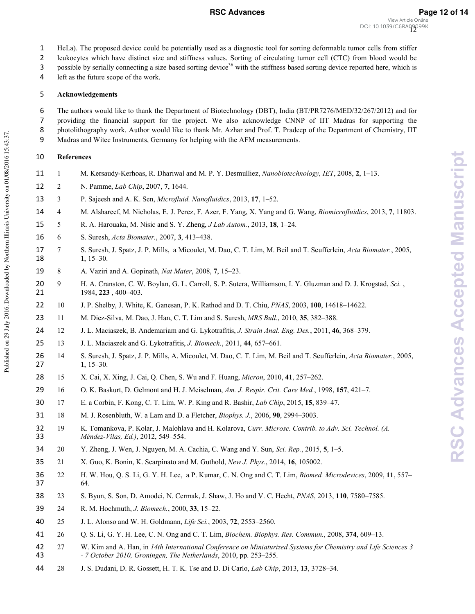2 leukocytes which have distinct size and stiffness values. Sorting of circulating tumor cell (CTC) from blood would be

3 possible by serially connecting a size based sorting device<sup>36</sup> with the stiffness based sorting device reported here, which is

4 left as the future scope of the work.

# 5 Acknowledgements

The authors would like to thank the Department of Biotechnology (DBT), India (BT/PR7276/MED/32/267/2012) and for providing the financial support for the project. We also acknowledge CNNP of IIT Madras for supporting the 8 photolithography work. Author would like to thank Mr. Azhar and Prof. T. Pradeep of the Department of Chemistry, IIT Madras and Witec Instruments, Germany for helping with the AFM measurements.

# 10 **References**

Published on 29 July 2016. Downloaded by Northern Illinois University on 01/08/2016 15:43:37.

Published on 29 July 2016. Downloaded by Northern Illinois University on 01/08/2016 15:43:37

- 11 1 M. Kersaudy-Kerhoas, R. Dhariwal and M. P. Y. Desmulliez, *Nanobiotechnology, IET*, 2008, 2, 1-13.
- 12 2 N. Pamme, *Lab Chip*, 2007, 7, 1644.
- 13 3 P. Sajeesh and A. K. Sen, *Microfluid. Nanofluidics*, 2013, 17, 1-52.
- 14 4 M. Alshareef, M. Nicholas, E. J. Perez, F. Azer, F. Yang, X. Yang and G. Wang, *!*, 2013, **0**, 11803.
- 15 5 R. A. Harouaka, M. Nisic and S. Y. Zheng, *J Lab Autom.*, 2013, 18, 1-24.
- 16 6 S. Suresh, *Acta Biomater.*, 2007, 3, 413-438.
- 17 7 S. Suresh, J. Spatz, J. P. Mills, a Micoulet, M. Dao, C. T. Lim, M. Beil and T. Seufferlein, *Acta Biomater*., 2005, 18  $1, 15-30.$
- 19 8 A. Vaziri and A. Gopinath, *Nat Mater*, 2008, 7, 15–23.
- 20 9 H. A. Cranston, C. W. Boylan, G. L. Carroll, S. P. Sutera, Williamson, I. Y. Gluzman and D. J. Krogstad, *Sci.*, **21** 1984, **223**, 400–403.
- 22 10 J. P. Shelby, J. White, K. Ganesan, P. K. Rathod and D. T. Chiu, *PNAS*, 2003, 100, 14618–14622.
- 23 11 M. Diez-Silva, M. Dao, J. Han, C. T. Lim and S. Suresh, *MRS Bull.*, 2010, 35, 382–388.
- 24 12 J. L. Maciaszek, B. Andemariam and G. Lykotrafitis, *J. Strain Anal. Eng. Des.*, 2011, 46, 368–379.
- 25 13 J. L. Maciaszek and G. Lykotrafitis, *J. Biomech.*, 2011, 44, 657–661.
- 26 14 S. Suresh, J. Spatz, J. P. Mills, A. Micoulet, M. Dao, C. T. Lim, M. Beil and T. Seufferlein, *Acta Biomater*., 2005, 27  $1, 15-30.$
- 28 15 X. Cai, X. Xing, J. Cai, Q. Chen, S. Wu and F. Huang, *Micron*, 2010, 41, 257–262.
- 29 16 O. K. Baskurt, D. Gelmont and H. J. Meiselman, *Am. J. Respir. Crit. Care Med.*, 1998, 157, 421–7.
- 30 17 E. a Corbin, F. Kong, C. T. Lim, W. P. King and R. Bashir, *(#* , 2015, **#**, 839–47.
- 31 18 M. J. Rosenbluth, W. a Lam and D. a Fletcher, *Biophys. J.*, 2006, 90, 2994–3003.
- 32 19 K. Tomankova, P. Kolar, J. Malohlava and H. Kolarova, *Curr. Microsc. Contrib. to Adv. Sci. Technol. (A.* 33 *0 12 &3*, 2012, 549–554.
- 34 20 Y. Zheng, J. Wen, J. Nguyen, M. A. Cachia, C. Wang and Y. Sun, *Sci. Rep.*, 2015, 5, 1–5.
- 35 21 X. Guo, K. Bonin, K. Scarpinato and M. Guthold, *New J. Phys.*, 2014, 16, 105002.
- 36 22 H. W. Hou, Q. S. Li, G. Y. H. Lee, a P. Kumar, C. N. Ong and C. T. Lim, *Biomed. Microdevices*, 2009, 11, 557– 37 64.
- 38 23 S. Byun, S. Son, D. Amodei, N. Cermak, J. Shaw, J. Ho and V. C. Hecht, *PNAS*, 2013, 110, 7580–7585.
- 39 24 R. M. Hochmuth, *J. Biomech.*, 2000, 33, 15–22.
- 40 25 J. L. Alonso and W. H. Goldmann, *Life Sci.*, 2003, **72**, 2553–2560.
- 41 26 Q. S. Li, G. Y. H. Lee, C. N. Ong and C. T. Lim, *Biochem. Biophys. Res. Commun.*, 2008, 374, 609–13.
- 42 27 W. Kim and A. Han, in 14th International Conference on Miniaturized Systems for Chemistry and Life Sciences 3 43  *7* October 2010, Groningen, The Netherlands, 2010, pp. 253-255.
- 44 28 J. S. Dudani, D. R. Gossett, H. T. K. Tse and D. Di Carlo, *Lab Chip*, 2013, 13, 3728–34.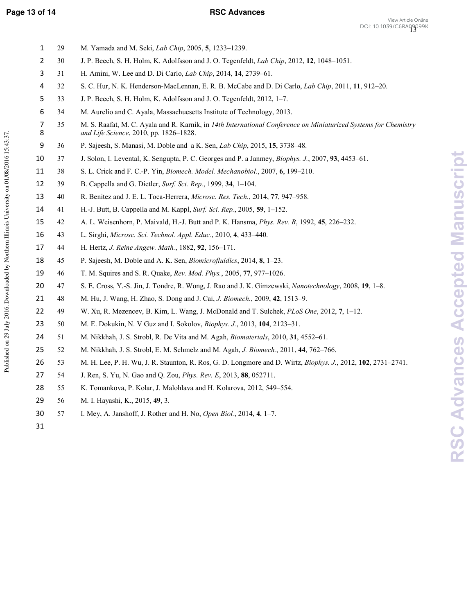# **Page 13 of 14 RSC Advances**

| $\mathbf 1$         | 29 | M. Yamada and M. Seki, <i>Lab Chip</i> , 2005, 5, 1233-1239.                                                                                              |
|---------------------|----|-----------------------------------------------------------------------------------------------------------------------------------------------------------|
| $\overline{2}$      | 30 | J. P. Beech, S. H. Holm, K. Adolfsson and J. O. Tegenfeldt, Lab Chip, 2012, 12, 1048-1051.                                                                |
| 3                   | 31 | H. Amini, W. Lee and D. Di Carlo, Lab Chip, 2014, 14, 2739-61.                                                                                            |
| 4                   | 32 | S. C. Hur, N. K. Henderson-MacLennan, E. R. B. McCabe and D. Di Carlo, Lab Chip, 2011, 11, 912–20.                                                        |
| 5                   | 33 | J. P. Beech, S. H. Holm, K. Adolfsson and J. O. Tegenfeldt, 2012, 1-7.                                                                                    |
| 6                   | 34 | M. Aurelio and C. Ayala, Massachuesetts Institute of Technology, 2013.                                                                                    |
| $\overline{7}$<br>8 | 35 | M. S. Raafat, M. C. Ayala and R. Karnik, in 14th International Conference on Miniaturized Systems for Chemistry<br>and Life Science, 2010, pp. 1826-1828. |
| 9                   | 36 | P. Sajeesh, S. Manasi, M. Doble and a K. Sen, Lab Chip, 2015, 15, 3738–48.                                                                                |
| 10                  | 37 | J. Solon, I. Levental, K. Sengupta, P. C. Georges and P. a Janmey, <i>Biophys. J.</i> , 2007, 93, 4453–61.                                                |
| 11                  | 38 | S. L. Crick and F. C.-P. Yin, <i>Biomech. Model. Mechanobiol.</i> , 2007, 6, 199–210.                                                                     |
| 12                  | 39 | B. Cappella and G. Dietler, Surf. Sci. Rep., 1999, 34, 1–104.                                                                                             |
| 13                  | 40 | R. Benitez and J. E. L. Toca-Herrera, Microsc. Res. Tech., 2014, 77, 947-958.                                                                             |
| 14                  | 41 | H.-J. Butt, B. Cappella and M. Kappl, Surf. Sci. Rep., 2005, 59, 1–152.                                                                                   |
| 15                  | 42 | A. L. Weisenhorn, P. Maivald, H.-J. Butt and P. K. Hansma, <i>Phys. Rev. B</i> , 1992, 45, 226–232.                                                       |
| 16                  | 43 | L. Sirghi, Microsc. Sci. Technol. Appl. Educ., 2010, 4, 433-440.                                                                                          |
| 17                  | 44 | H. Hertz, J. Reine Angew. Math., 1882, 92, 156–171.                                                                                                       |
| 18                  | 45 | P. Sajeesh, M. Doble and A. K. Sen, <i>Biomicrofluidics</i> , 2014, 8, 1–23.                                                                              |
| 19                  | 46 | T. M. Squires and S. R. Quake, Rev. Mod. Phys., 2005, 77, 977-1026.                                                                                       |
| 20                  | 47 | S. E. Cross, Y.-S. Jin, J. Tondre, R. Wong, J. Rao and J. K. Gimzewski, Nanotechnology, 2008, 19, 1–8.                                                    |
| 21                  | 48 | M. Hu, J. Wang, H. Zhao, S. Dong and J. Cai, J. Biomech., 2009, 42, 1513–9.                                                                               |
| 22                  | 49 | W. Xu, R. Mezencev, B. Kim, L. Wang, J. McDonald and T. Sulchek, <i>PLoS One</i> , 2012, 7, 1–12.                                                         |
| 23                  | 50 | M. E. Dokukin, N. V Guz and I. Sokolov, <i>Biophys. J.</i> , 2013, 104, 2123–31.                                                                          |
| 24                  | 51 | M. Nikkhah, J. S. Strobl, R. De Vita and M. Agah, <i>Biomaterials</i> , 2010, 31, 4552–61.                                                                |
| 25                  | 52 | M. Nikkhah, J. S. Strobl, E. M. Schmelz and M. Agah, J. Biomech., 2011, 44, 762-766.                                                                      |
| 26                  | 53 | M. H. Lee, P. H. Wu, J. R. Staunton, R. Ros, G. D. Longmore and D. Wirtz, <i>Biophys. J.</i> , 2012, 102, 2731–2741.                                      |
| 27                  | 54 | J. Ren, S. Yu, N. Gao and Q. Zou, <i>Phys. Rev. E</i> , 2013, 88, 052711.                                                                                 |

- 28 55 K. Tomankova, P. Kolar, J. Malohlava and H. Kolarova, 2012, 549-554.
- 29 56 M. I. Hayashi, K., 2015, **5**, 3.
- 30 57 I. Mey, A. Janshoff, J. Rother and H. No, *Open Biol.*, 2014, 4, 1–7.
- 31